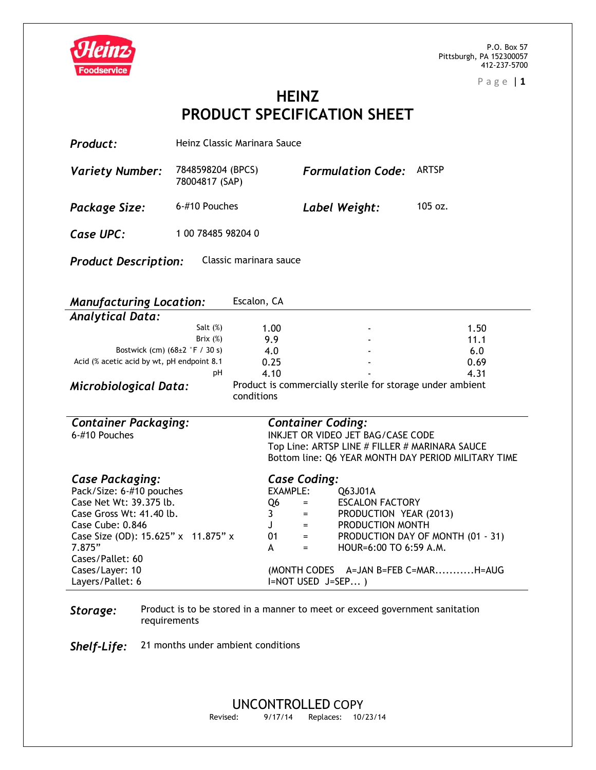



**HEINZ PRODUCT SPECIFICATION SHEET**

| Product:                                                                                                                                                                                                              | Heinz Classic Marinara Sauce        |                                                                                                                                                                                   |                                                                                                                                                                        |                                                             |  |  |  |
|-----------------------------------------------------------------------------------------------------------------------------------------------------------------------------------------------------------------------|-------------------------------------|-----------------------------------------------------------------------------------------------------------------------------------------------------------------------------------|------------------------------------------------------------------------------------------------------------------------------------------------------------------------|-------------------------------------------------------------|--|--|--|
| <b>Variety Number:</b>                                                                                                                                                                                                | 7848598204 (BPCS)<br>78004817 (SAP) |                                                                                                                                                                                   | <b>Formulation Code:</b>                                                                                                                                               | <b>ARTSP</b>                                                |  |  |  |
| Package Size:                                                                                                                                                                                                         | 6-#10 Pouches                       |                                                                                                                                                                                   | Label Weight:                                                                                                                                                          | 105 oz.                                                     |  |  |  |
| Case UPC:                                                                                                                                                                                                             | 1 00 78485 98204 0                  |                                                                                                                                                                                   |                                                                                                                                                                        |                                                             |  |  |  |
| <b>Product Description:</b><br>Classic marinara sauce                                                                                                                                                                 |                                     |                                                                                                                                                                                   |                                                                                                                                                                        |                                                             |  |  |  |
| Escalon, CA<br><b>Manufacturing Location:</b>                                                                                                                                                                         |                                     |                                                                                                                                                                                   |                                                                                                                                                                        |                                                             |  |  |  |
| <b>Analytical Data:</b>                                                                                                                                                                                               |                                     |                                                                                                                                                                                   |                                                                                                                                                                        |                                                             |  |  |  |
|                                                                                                                                                                                                                       | Salt $(\%)$                         | 1.00                                                                                                                                                                              |                                                                                                                                                                        | 1.50                                                        |  |  |  |
|                                                                                                                                                                                                                       | Brix (%)                            | 9.9                                                                                                                                                                               |                                                                                                                                                                        | 11.1                                                        |  |  |  |
| Bostwick (cm) (68±2 °F / 30 s)                                                                                                                                                                                        |                                     | 4.0                                                                                                                                                                               |                                                                                                                                                                        | 6.0                                                         |  |  |  |
| Acid (% acetic acid by wt, pH endpoint 8.1                                                                                                                                                                            |                                     | 0.25                                                                                                                                                                              |                                                                                                                                                                        | 0.69                                                        |  |  |  |
|                                                                                                                                                                                                                       | рH                                  | 4.10                                                                                                                                                                              |                                                                                                                                                                        | 4.31                                                        |  |  |  |
| Product is commercially sterile for storage under ambient<br><b>Microbiological Data:</b><br>conditions                                                                                                               |                                     |                                                                                                                                                                                   |                                                                                                                                                                        |                                                             |  |  |  |
| <b>Container Packaging:</b><br>6-#10 Pouches                                                                                                                                                                          |                                     |                                                                                                                                                                                   | <b>Container Coding:</b><br>INKJET OR VIDEO JET BAG/CASE CODE<br>Top Line: ARTSP LINE # FILLER # MARINARA SAUCE<br>Bottom line: Q6 YEAR MONTH DAY PERIOD MILITARY TIME |                                                             |  |  |  |
| <b>Case Packaging:</b><br>Pack/Size: 6-#10 pouches<br>Case Net Wt: 39.375 lb.<br>Case Gross Wt: 41.40 lb.<br>Case Cube: 0.846<br>Case Size (OD): 15.625" x 11.875" x<br>7.875"<br>Cases/Pallet: 60<br>Cases/Layer: 10 |                                     | <b>Case Coding:</b><br>EXAMPLE:<br>Q <sub>6</sub><br>$=$ $-$<br>$\equiv 1.000$<br>$\mathbf{3}$<br>J –<br>$\equiv 1.000$ and $\sim 1.000$<br>01<br>$=$<br>A<br>$=$<br>(MONTH CODES | Q63J01A<br><b>ESCALON FACTORY</b><br>PRODUCTION YEAR (2013)<br>PRODUCTION MONTH<br>HOUR=6:00 TO 6:59 A.M.                                                              | PRODUCTION DAY OF MONTH (01 - 31)<br>A=JAN B=FEB C=MARH=AUG |  |  |  |
|                                                                                                                                                                                                                       |                                     |                                                                                                                                                                                   |                                                                                                                                                                        |                                                             |  |  |  |

**Storage:** Product is to be stored in a manner to meet or exceed government sanitation requirements

*Shelf-Life:* 21 months under ambient conditions

Layers/Pallet: 6

I=NOT USED J=SEP... )